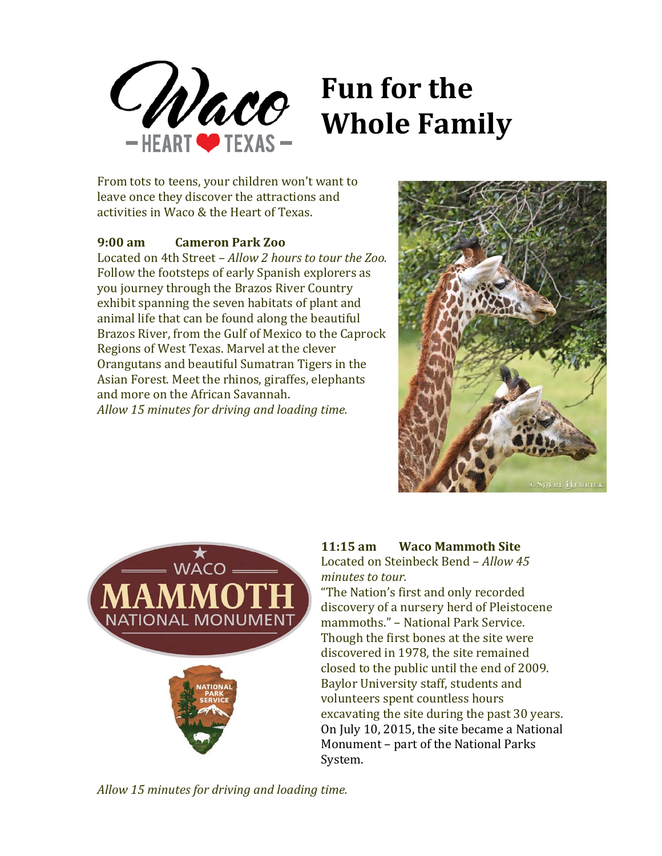

# **Fun for the Whole Family**

From tots to teens, your children won't want to leave once they discover the attractions and activities in Waco & the Heart of Texas.

# **9:00 am Cameron Park Zoo**

Located on 4th Street – *Allow 2 hours to tour the Zoo.* Follow the footsteps of early Spanish explorers as you journey through the Brazos River Country exhibit spanning the seven habitats of plant and animal life that can be found along the beautiful Brazos River, from the Gulf of Mexico to the Caprock Regions of West Texas. Marvel at the clever Orangutans and beautiful Sumatran Tigers in the Asian Forest. Meet the rhinos, giraffes, elephants and more on the African Savannah. *Allow 15 minutes for driving and loading time.*





# **11:15 am Waco Mammoth Site**

Located on Steinbeck Bend – *Allow 45 minutes to tour.*

"The Nation's first and only recorded discovery of a nursery herd of Pleistocene mammoths." – National Park Service. Though the first bones at the site were discovered in 1978, the site remained closed to the public until the end of 2009. Baylor University staff, students and volunteers spent countless hours excavating the site during the past 30 years. On July 10, 2015, the site became a National Monument – part of the National Parks System.

*Allow 15 minutes for driving and loading time.*